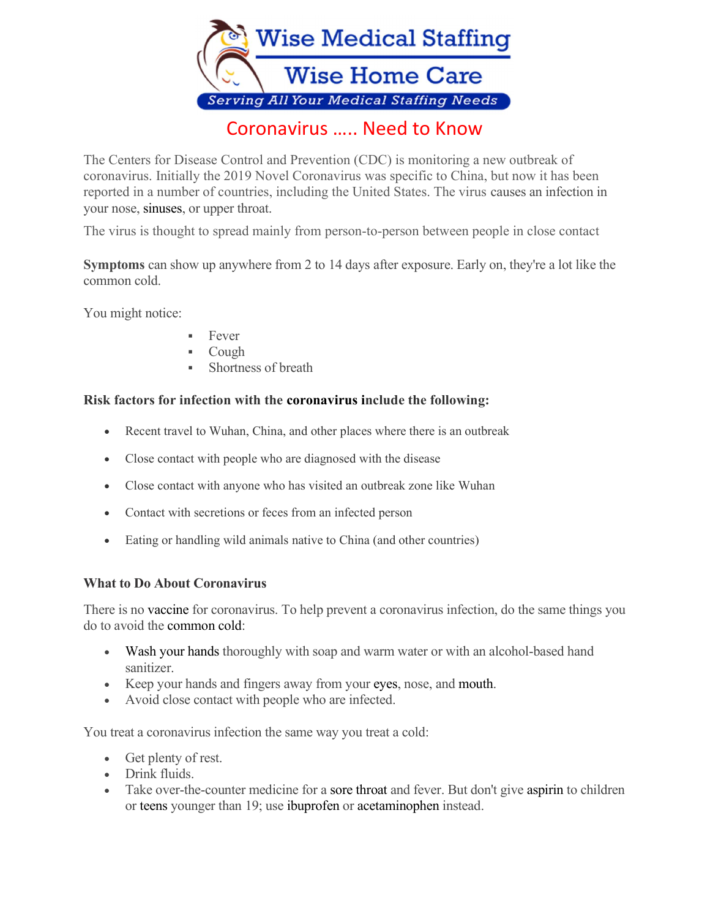

The Centers for Disease Control and Prevention (CDC) is monitoring a new outbreak of coronavirus. Initially the 2019 Novel Coronavirus was specific to China, but now it has been reported in a number of countries, including the United States. The virus causes an infection in your nose, sinuses, or upper throat.

The virus is thought to spread mainly from person-to-person between people in close contact

Symptoms can show up anywhere from 2 to 14 days after exposure. Early on, they're a lot like the common cold.

You might notice:

- Fever
- Cough
- Shortness of breath

## Risk factors for infection with the coronavirus include the following:

- Recent travel to Wuhan, China, and other places where there is an outbreak
- Close contact with people who are diagnosed with the disease
- Close contact with anyone who has visited an outbreak zone like Wuhan
- Contact with secretions or feces from an infected person
- Eating or handling wild animals native to China (and other countries)

### What to Do About Coronavirus

There is no vaccine for coronavirus. To help prevent a coronavirus infection, do the same things you do to avoid the common cold:

- Wash your hands thoroughly with soap and warm water or with an alcohol-based hand sanitizer.
- Keep your hands and fingers away from your eyes, nose, and mouth.
- Avoid close contact with people who are infected.

You treat a coronavirus infection the same way you treat a cold:

- Get plenty of rest.
- Drink fluids.
- Take over-the-counter medicine for a sore throat and fever. But don't give aspirin to children or teens younger than 19; use ibuprofen or acetaminophen instead.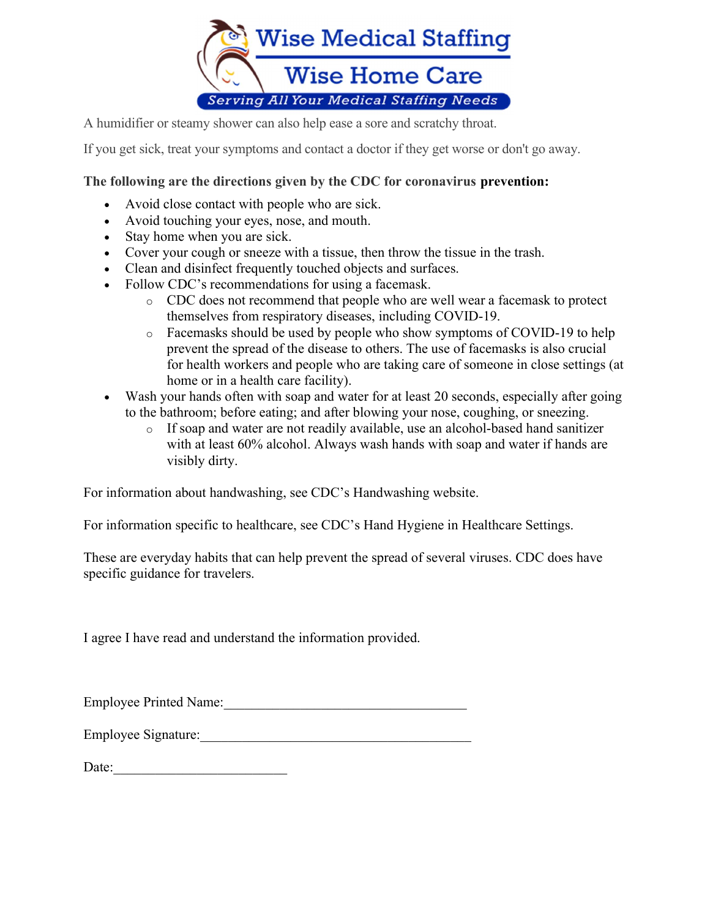

A humidifier or steamy shower can also help ease a sore and scratchy throat.

If you get sick, treat your symptoms and contact a doctor if they get worse or don't go away.

# The following are the directions given by the CDC for coronavirus prevention:

- Avoid close contact with people who are sick.
- Avoid touching your eyes, nose, and mouth.
- Stay home when you are sick.
- Cover your cough or sneeze with a tissue, then throw the tissue in the trash.
- Clean and disinfect frequently touched objects and surfaces.
- Follow CDC's recommendations for using a facemask.
	- o CDC does not recommend that people who are well wear a facemask to protect themselves from respiratory diseases, including COVID-19.
	- o Facemasks should be used by people who show symptoms of COVID-19 to help prevent the spread of the disease to others. The use of facemasks is also crucial for health workers and people who are taking care of someone in close settings (at home or in a health care facility).
- Wash your hands often with soap and water for at least 20 seconds, especially after going to the bathroom; before eating; and after blowing your nose, coughing, or sneezing.
	- o If soap and water are not readily available, use an alcohol-based hand sanitizer with at least 60% alcohol. Always wash hands with soap and water if hands are visibly dirty.

For information about handwashing, see CDC's Handwashing website.

For information specific to healthcare, see CDC's Hand Hygiene in Healthcare Settings.

These are everyday habits that can help prevent the spread of several viruses. CDC does have specific guidance for travelers.

I agree I have read and understand the information provided.

Employee Printed Name:

Employee Signature:

Date: